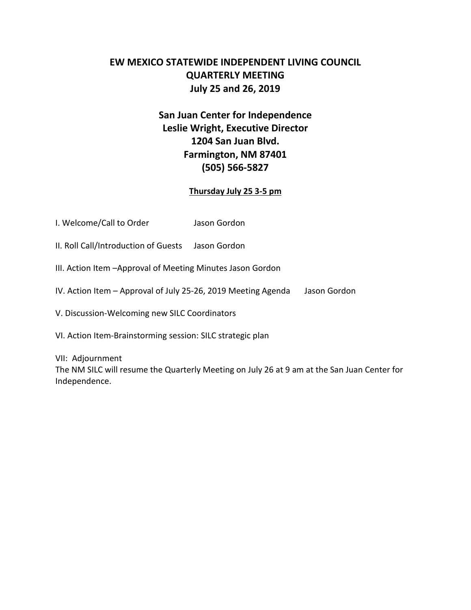## **EW MEXICO STATEWIDE INDEPENDENT LIVING COUNCIL QUARTERLY MEETING July 25 and 26, 2019**

# **San Juan Center for Independence Leslie Wright, Executive Director 1204 San Juan Blvd. Farmington, NM 87401 (505) 566-5827**

### **Thursday July 25 3-5 pm**

- I. Welcome/Call to Order Jason Gordon
- II. Roll Call/Introduction of Guests Jason Gordon
- III. Action Item –Approval of Meeting Minutes Jason Gordon
- IV. Action Item Approval of July 25-26, 2019 Meeting Agenda Jason Gordon
- V. Discussion-Welcoming new SILC Coordinators
- VI. Action Item-Brainstorming session: SILC strategic plan
- VII: Adjournment

The NM SILC will resume the Quarterly Meeting on July 26 at 9 am at the San Juan Center for Independence.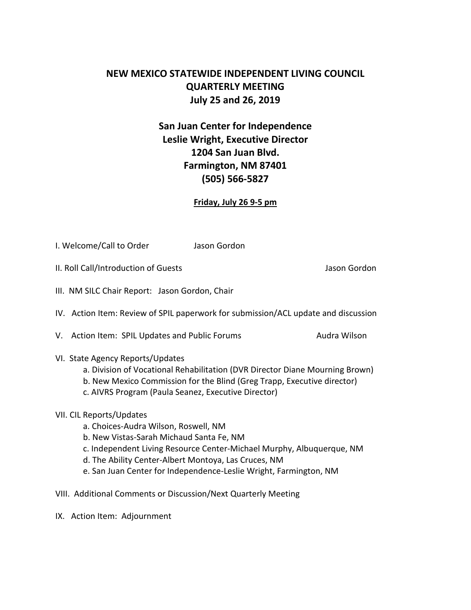## **NEW MEXICO STATEWIDE INDEPENDENT LIVING COUNCIL QUARTERLY MEETING July 25 and 26, 2019**

# **San Juan Center for Independence Leslie Wright, Executive Director 1204 San Juan Blvd. Farmington, NM 87401 (505) 566-5827**

#### **Friday, July 26 9-5 pm**

I. Welcome/Call to Order Jason Gordon

II. Roll Call/Introduction of Guests Jason Gordon

- III. NM SILC Chair Report: Jason Gordon, Chair
- IV. Action Item: Review of SPIL paperwork for submission/ACL update and discussion

V. Action Item: SPIL Updates and Public Forums Audra Wilson

- VI. State Agency Reports/Updates
	- a. Division of Vocational Rehabilitation (DVR Director Diane Mourning Brown)
	- b. New Mexico Commission for the Blind (Greg Trapp, Executive director)
	- c. AIVRS Program (Paula Seanez, Executive Director)

#### VII. CIL Reports/Updates

- a. Choices-Audra Wilson, Roswell, NM
- b. New Vistas-Sarah Michaud Santa Fe, NM
- c. Independent Living Resource Center-Michael Murphy, Albuquerque, NM
- d. The Ability Center-Albert Montoya, Las Cruces, NM
- e. San Juan Center for Independence-Leslie Wright, Farmington, NM
- VIII. Additional Comments or Discussion/Next Quarterly Meeting
- IX. Action Item: Adjournment